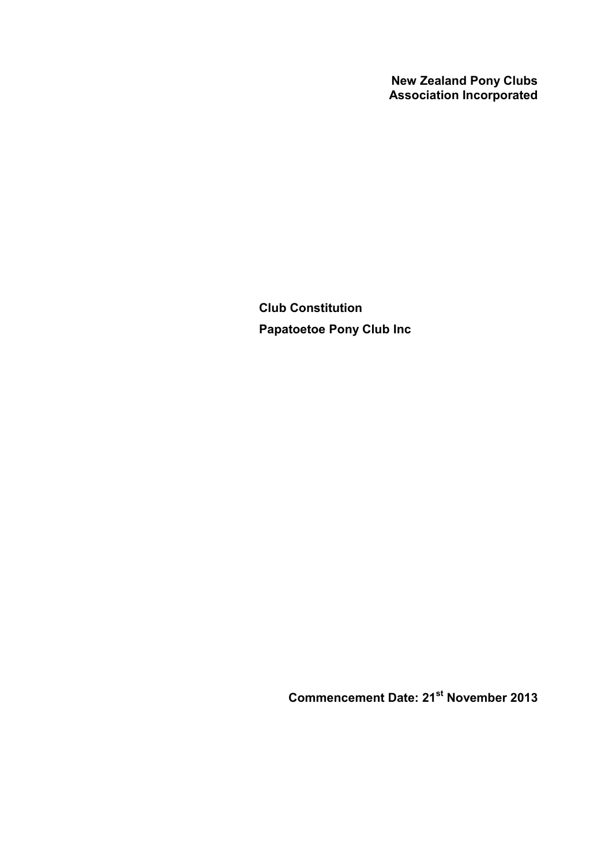**New Zealand Pony Clubs Association Incorporated**

**Club Constitution Papatoetoe Pony Club Inc**

**Commencement Date: 21st November 2013**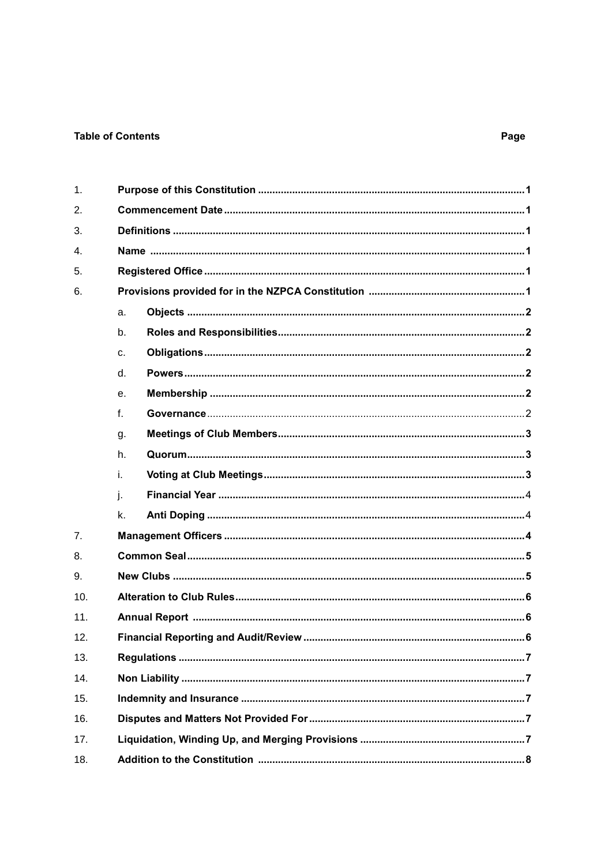### **Table of Contents**

| 1.  |                |
|-----|----------------|
| 2.  |                |
| 3.  |                |
| 4.  |                |
| 5.  |                |
| 6.  |                |
|     | a.             |
|     | b.             |
|     | C <sub>1</sub> |
|     | d.             |
|     | е.             |
|     | $f_{\cdot}$    |
|     | g.             |
|     | h.             |
|     | i.             |
|     | j.             |
|     | k.             |
| 7.  |                |
| 8.  |                |
| 9.  |                |
| 10. |                |
| 11. |                |
| 12. |                |
| 13. |                |
| 14. |                |
| 15. |                |
| 16. |                |
| 17. |                |
| 18. |                |

# Page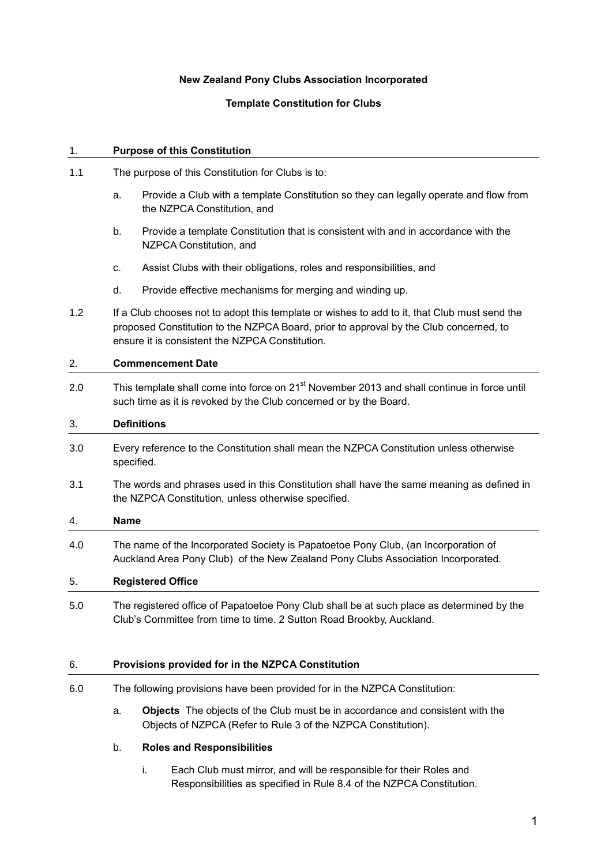### **New Zealand Pony Clubs Association Incorporated**

### **Template Constitution for Clubs**

#### 1. **Purpose of this Constitution**

- 1.1 The purpose of this Constitution for Clubs is to:
	- a. Provide a Club with a template Constitution so they can legally operate and flow from the NZPCA Constitution, and
	- b. Provide a template Constitution that is consistent with and in accordance with the NZPCA Constitution, and
	- c. Assist Clubs with their obligations, roles and responsibilities, and
	- d. Provide effective mechanisms for merging and winding up.
- 1.2 If a Club chooses not to adopt this template or wishes to add to it, that Club must send the proposed Constitution to the NZPCA Board, prior to approval by the Club concerned, to ensure it is consistent the NZPCA Constitution.

#### 2. **Commencement Date**

2.0 This template shall come into force on 21<sup>st</sup> November 2013 and shall continue in force until such time as it is revoked by the Club concerned or by the Board.

#### 3. **Definitions**

- 3.0 Every reference to the Constitution shall mean the NZPCA Constitution unless otherwise specified.
- 3.1 The words and phrases used in this Constitution shall have the same meaning as defined in the NZPCA Constitution, unless otherwise specified.

#### 4. **Name**

4.0 The name of the Incorporated Society is Papatoetoe Pony Club, (an Incorporation of Auckland Area Pony Club) of the New Zealand Pony Clubs Association Incorporated.

#### 5. **Registered Office**

5.0 The registered office of Papatoetoe Pony Club shall be at such place as determined by the Club's Committee from time to time. 2 Sutton Road Brookby, Auckland.

#### 6. **Provisions provided for in the NZPCA Constitution**

- 6.0 The following provisions have been provided for in the NZPCA Constitution:
	- a. **Objects** The objects of the Club must be in accordance and consistent with the Objects of NZPCA (Refer to Rule 3 of the NZPCA Constitution).

### b. **Roles and Responsibilities**

i. Each Club must mirror, and will be responsible for their Roles and Responsibilities as specified in Rule 8.4 of the NZPCA Constitution.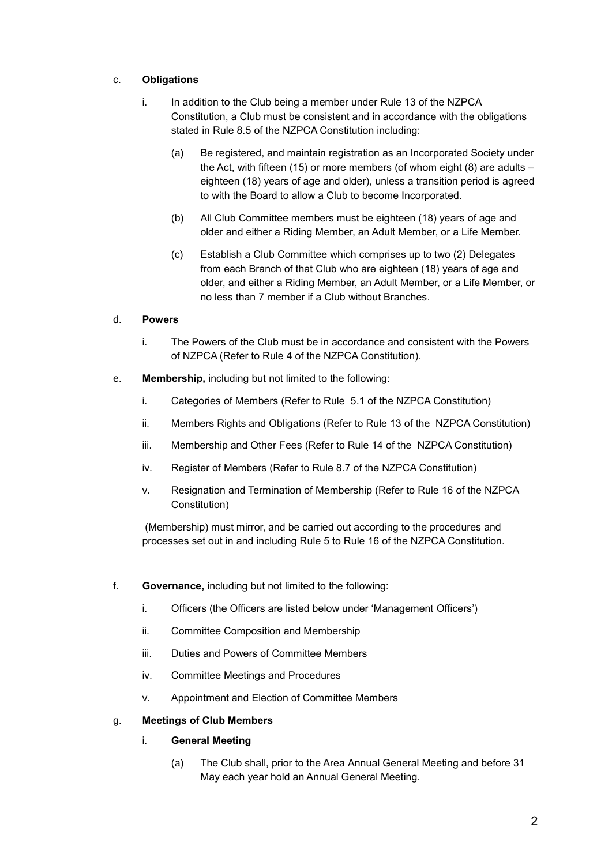## c. **Obligations**

- i. In addition to the Club being a member under Rule 13 of the NZPCA Constitution, a Club must be consistent and in accordance with the obligations stated in Rule 8.5 of the NZPCA Constitution including:
	- (a) Be registered, and maintain registration as an Incorporated Society under the Act, with fifteen (15) or more members (of whom eight (8) are adults – eighteen (18) years of age and older), unless a transition period is agreed to with the Board to allow a Club to become Incorporated.
	- (b) All Club Committee members must be eighteen (18) years of age and older and either a Riding Member, an Adult Member, or a Life Member.
	- (c) Establish a Club Committee which comprises up to two (2) Delegates from each Branch of that Club who are eighteen (18) years of age and older, and either a Riding Member, an Adult Member, or a Life Member, or no less than 7 member if a Club without Branches.

#### d. **Powers**

- i. The Powers of the Club must be in accordance and consistent with the Powers of NZPCA (Refer to Rule 4 of the NZPCA Constitution).
- e. **Membership,** including but not limited to the following:
	- i. Categories of Members (Refer to Rule 5.1 of the NZPCA Constitution)
	- ii. Members Rights and Obligations (Refer to Rule 13 of the NZPCA Constitution)
	- iii. Membership and Other Fees (Refer to Rule 14 of the NZPCA Constitution)
	- iv. Register of Members (Refer to Rule 8.7 of the NZPCA Constitution)
	- v. Resignation and Termination of Membership (Refer to Rule 16 of the NZPCA Constitution)

(Membership) must mirror, and be carried out according to the procedures and processes set out in and including Rule 5 to Rule 16 of the NZPCA Constitution.

- f. **Governance,** including but not limited to the following:
	- i. Officers (the Officers are listed below under 'Management Officers')
	- ii. Committee Composition and Membership
	- iii. Duties and Powers of Committee Members
	- iv. Committee Meetings and Procedures
	- v. Appointment and Election of Committee Members

#### g. **Meetings of Club Members**

#### i. **General Meeting**

(a) The Club shall, prior to the Area Annual General Meeting and before 31 May each year hold an Annual General Meeting.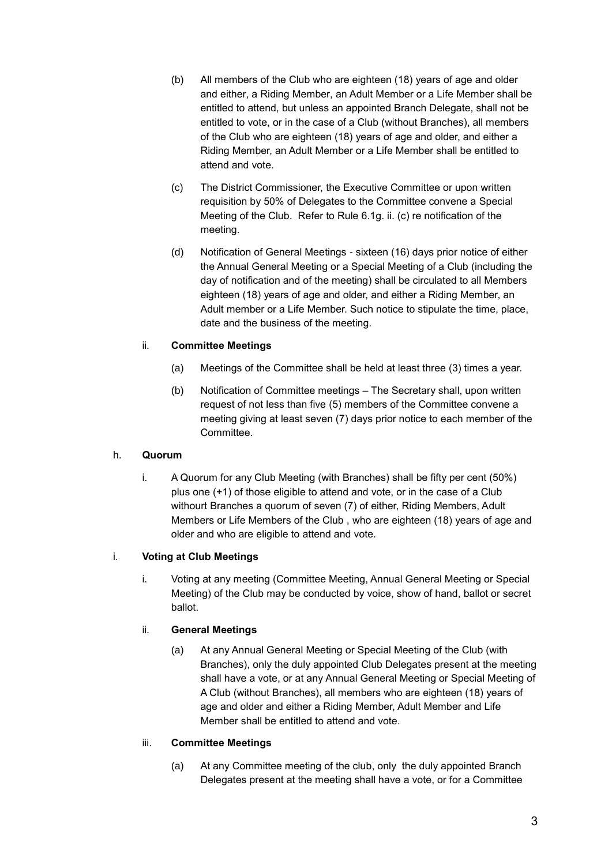- (b) All members of the Club who are eighteen (18) years of age and older and either, a Riding Member, an Adult Member or a Life Member shall be entitled to attend, but unless an appointed Branch Delegate, shall not be entitled to vote, or in the case of a Club (without Branches), all members of the Club who are eighteen (18) years of age and older, and either a Riding Member, an Adult Member or a Life Member shall be entitled to attend and vote.
- (c) The District Commissioner, the Executive Committee or upon written requisition by 50% of Delegates to the Committee convene a Special Meeting of the Club. Refer to Rule 6.1g. ii. (c) re notification of the meeting.
- (d) Notification of General Meetings sixteen (16) days prior notice of either the Annual General Meeting or a Special Meeting of a Club (including the day of notification and of the meeting) shall be circulated to all Members eighteen (18) years of age and older, and either a Riding Member, an Adult member or a Life Member. Such notice to stipulate the time, place, date and the business of the meeting.

### ii. **Committee Meetings**

- (a) Meetings of the Committee shall be held at least three (3) times a year.
- (b) Notification of Committee meetings The Secretary shall, upon written request of not less than five (5) members of the Committee convene a meeting giving at least seven (7) days prior notice to each member of the Committee.

#### h. **Quorum**

i. A Quorum for any Club Meeting (with Branches) shall be fifty per cent (50%) plus one (+1) of those eligible to attend and vote, or in the case of a Club withourt Branches a quorum of seven (7) of either, Riding Members, Adult Members or Life Members of the Club , who are eighteen (18) years of age and older and who are eligible to attend and vote.

#### i. **Voting at Club Meetings**

i. Voting at any meeting (Committee Meeting, Annual General Meeting or Special Meeting) of the Club may be conducted by voice, show of hand, ballot or secret ballot.

## ii. **General Meetings**

(a) At any Annual General Meeting or Special Meeting of the Club (with Branches), only the duly appointed Club Delegates present at the meeting shall have a vote, or at any Annual General Meeting or Special Meeting of A Club (without Branches), all members who are eighteen (18) years of age and older and either a Riding Member, Adult Member and Life Member shall be entitled to attend and vote.

#### iii. **Committee Meetings**

(a) At any Committee meeting of the club, only the duly appointed Branch Delegates present at the meeting shall have a vote, or for a Committee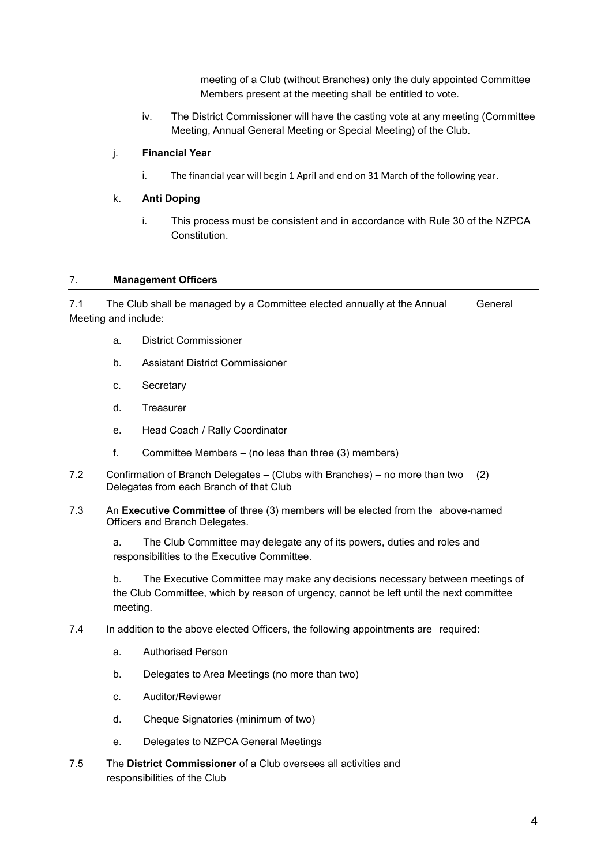meeting of a Club (without Branches) only the duly appointed Committee Members present at the meeting shall be entitled to vote.

iv. The District Commissioner will have the casting vote at any meeting (Committee Meeting, Annual General Meeting or Special Meeting) of the Club.

### j. **Financial Year**

i. The financial year will begin 1 April and end on 31 March of the following year.

### k. **Anti Doping**

i. This process must be consistent and in accordance with Rule 30 of the NZPCA Constitution.

### 7. **Management Officers**

7.1 The Club shall be managed by a Committee elected annually at the Annual General Meeting and include:

- a. District Commissioner
- b. Assistant District Commissioner
- c. Secretary
- d. Treasurer
- e. Head Coach / Rally Coordinator
- f. Committee Members (no less than three (3) members)
- 7.2 Confirmation of Branch Delegates (Clubs with Branches) no more than two (2) Delegates from each Branch of that Club
- 7.3 An **Executive Committee** of three (3) members will be elected from the above-named Officers and Branch Delegates.

a. The Club Committee may delegate any of its powers, duties and roles and responsibilities to the Executive Committee.

b. The Executive Committee may make any decisions necessary between meetings of the Club Committee, which by reason of urgency, cannot be left until the next committee meeting.

### 7.4 In addition to the above elected Officers, the following appointments are required:

- a. Authorised Person
- b. Delegates to Area Meetings (no more than two)
- c. Auditor/Reviewer
- d. Cheque Signatories (minimum of two)
- e. Delegates to NZPCA General Meetings
- 7.5 The **District Commissioner** of a Club oversees all activities and responsibilities of the Club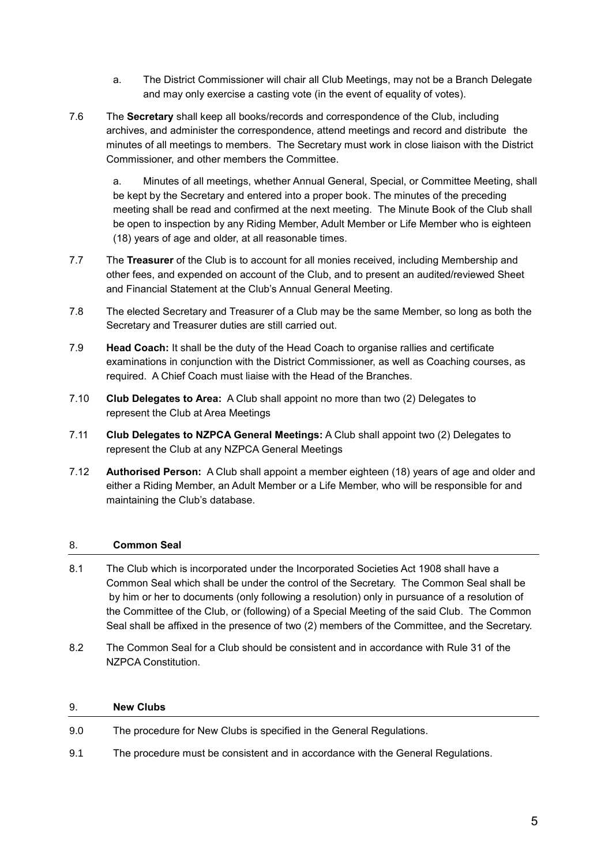- a. The District Commissioner will chair all Club Meetings, may not be a Branch Delegate and may only exercise a casting vote (in the event of equality of votes).
- 7.6 The **Secretary** shall keep all books/records and correspondence of the Club, including archives, and administer the correspondence, attend meetings and record and distribute the minutes of all meetings to members. The Secretary must work in close liaison with the District Commissioner, and other members the Committee.

a. Minutes of all meetings, whether Annual General, Special, or Committee Meeting, shall be kept by the Secretary and entered into a proper book. The minutes of the preceding meeting shall be read and confirmed at the next meeting. The Minute Book of the Club shall be open to inspection by any Riding Member, Adult Member or Life Member who is eighteen (18) years of age and older, at all reasonable times.

- 7.7 The **Treasurer** of the Club is to account for all monies received, including Membership and other fees, and expended on account of the Club, and to present an audited/reviewed Sheet and Financial Statement at the Club's Annual General Meeting.
- 7.8 The elected Secretary and Treasurer of a Club may be the same Member, so long as both the Secretary and Treasurer duties are still carried out.
- 7.9 **Head Coach:** It shall be the duty of the Head Coach to organise rallies and certificate examinations in conjunction with the District Commissioner, as well as Coaching courses, as required. A Chief Coach must liaise with the Head of the Branches.
- 7.10 **Club Delegates to Area:** A Club shall appoint no more than two (2) Delegates to represent the Club at Area Meetings
- 7.11 **Club Delegates to NZPCA General Meetings:** A Club shall appoint two (2) Delegates to represent the Club at any NZPCA General Meetings
- 7.12 **Authorised Person:** A Club shall appoint a member eighteen (18) years of age and older and either a Riding Member, an Adult Member or a Life Member, who will be responsible for and maintaining the Club's database.

## 8. **Common Seal**

- 8.1 The Club which is incorporated under the Incorporated Societies Act 1908 shall have a Common Seal which shall be under the control of the Secretary. The Common Seal shall be by him or her to documents (only following a resolution) only in pursuance of a resolution of the Committee of the Club, or (following) of a Special Meeting of the said Club. The Common Seal shall be affixed in the presence of two (2) members of the Committee, and the Secretary.
- 8.2 The Common Seal for a Club should be consistent and in accordance with Rule 31 of the NZPCA Constitution.

#### 9. **New Clubs**

- 9.0 The procedure for New Clubs is specified in the General Regulations.
- 9.1 The procedure must be consistent and in accordance with the General Regulations.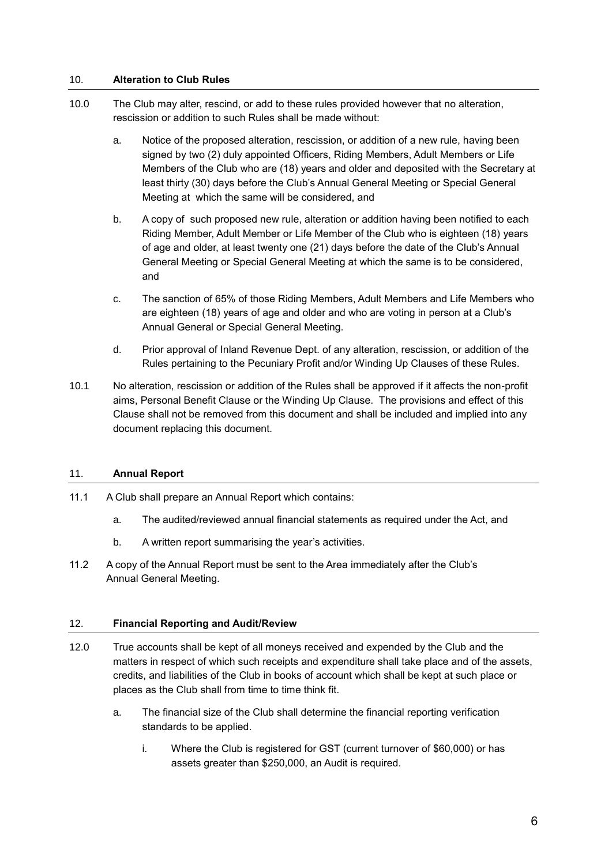### 10. **Alteration to Club Rules**

- 10.0 The Club may alter, rescind, or add to these rules provided however that no alteration, rescission or addition to such Rules shall be made without:
	- a. Notice of the proposed alteration, rescission, or addition of a new rule, having been signed by two (2) duly appointed Officers, Riding Members, Adult Members or Life Members of the Club who are (18) years and older and deposited with the Secretary at least thirty (30) days before the Club's Annual General Meeting or Special General Meeting at which the same will be considered, and
	- b. A copy of such proposed new rule, alteration or addition having been notified to each Riding Member, Adult Member or Life Member of the Club who is eighteen (18) years of age and older, at least twenty one (21) days before the date of the Club's Annual General Meeting or Special General Meeting at which the same is to be considered, and
	- c. The sanction of 65% of those Riding Members, Adult Members and Life Members who are eighteen (18) years of age and older and who are voting in person at a Club's Annual General or Special General Meeting.
	- d. Prior approval of Inland Revenue Dept. of any alteration, rescission, or addition of the Rules pertaining to the Pecuniary Profit and/or Winding Up Clauses of these Rules.
- 10.1 No alteration, rescission or addition of the Rules shall be approved if it affects the non-profit aims, Personal Benefit Clause or the Winding Up Clause. The provisions and effect of this Clause shall not be removed from this document and shall be included and implied into any document replacing this document.

## 11. **Annual Report**

- 11.1 A Club shall prepare an Annual Report which contains:
	- a. The audited/reviewed annual financial statements as required under the Act, and
	- b. A written report summarising the year's activities.
- 11.2 A copy of the Annual Report must be sent to the Area immediately after the Club's Annual General Meeting.

### 12. **Financial Reporting and Audit/Review**

- 12.0 True accounts shall be kept of all moneys received and expended by the Club and the matters in respect of which such receipts and expenditure shall take place and of the assets, credits, and liabilities of the Club in books of account which shall be kept at such place or places as the Club shall from time to time think fit.
	- a. The financial size of the Club shall determine the financial reporting verification standards to be applied.
		- i. Where the Club is registered for GST (current turnover of \$60,000) or has assets greater than \$250,000, an Audit is required.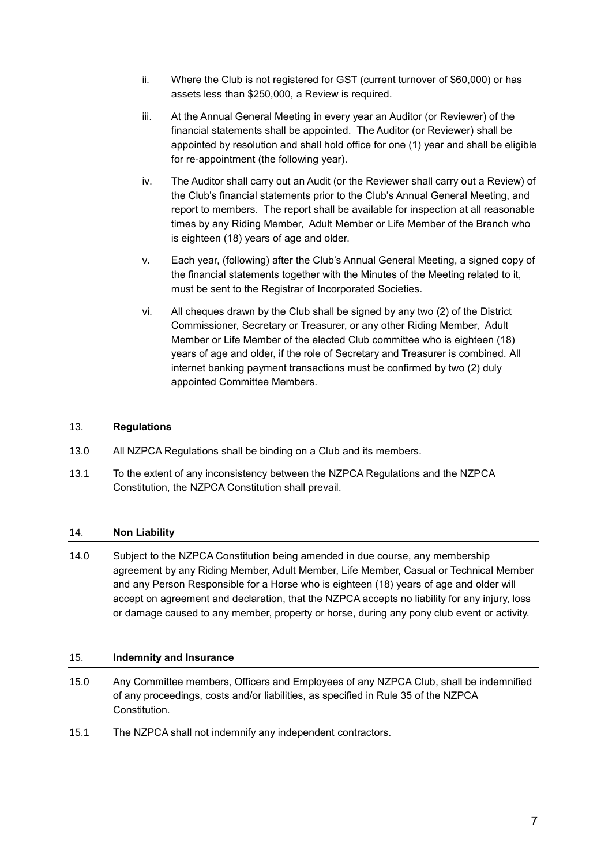- ii. Where the Club is not registered for GST (current turnover of \$60,000) or has assets less than \$250,000, a Review is required.
- iii. At the Annual General Meeting in every year an Auditor (or Reviewer) of the financial statements shall be appointed. The Auditor (or Reviewer) shall be appointed by resolution and shall hold office for one (1) year and shall be eligible for re-appointment (the following year).
- iv. The Auditor shall carry out an Audit (or the Reviewer shall carry out a Review) of the Club's financial statements prior to the Club's Annual General Meeting, and report to members. The report shall be available for inspection at all reasonable times by any Riding Member, Adult Member or Life Member of the Branch who is eighteen (18) years of age and older.
- v. Each year, (following) after the Club's Annual General Meeting, a signed copy of the financial statements together with the Minutes of the Meeting related to it, must be sent to the Registrar of Incorporated Societies.
- vi. All cheques drawn by the Club shall be signed by any two (2) of the District Commissioner, Secretary or Treasurer, or any other Riding Member, Adult Member or Life Member of the elected Club committee who is eighteen (18) years of age and older, if the role of Secretary and Treasurer is combined. All internet banking payment transactions must be confirmed by two (2) duly appointed Committee Members.

## 13. **Regulations**

- 13.0 All NZPCA Regulations shall be binding on a Club and its members.
- 13.1 To the extent of any inconsistency between the NZPCA Regulations and the NZPCA Constitution, the NZPCA Constitution shall prevail.

#### 14. **Non Liability**

14.0 Subject to the NZPCA Constitution being amended in due course, any membership agreement by any Riding Member, Adult Member, Life Member, Casual or Technical Member and any Person Responsible for a Horse who is eighteen (18) years of age and older will accept on agreement and declaration, that the NZPCA accepts no liability for any injury, loss or damage caused to any member, property or horse, during any pony club event or activity.

### 15. **Indemnity and Insurance**

- 15.0 Any Committee members, Officers and Employees of any NZPCA Club, shall be indemnified of any proceedings, costs and/or liabilities, as specified in Rule 35 of the NZPCA Constitution.
- 15.1 The NZPCA shall not indemnify any independent contractors.